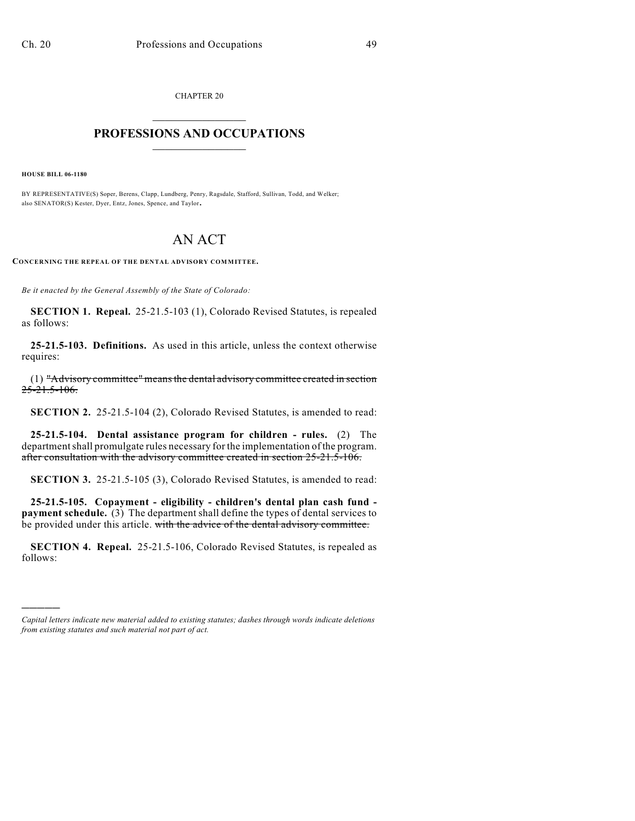CHAPTER 20  $\overline{\phantom{a}}$  . The set of the set of the set of the set of the set of the set of the set of the set of the set of the set of the set of the set of the set of the set of the set of the set of the set of the set of the set o

## **PROFESSIONS AND OCCUPATIONS**  $\frac{1}{2}$  ,  $\frac{1}{2}$  ,  $\frac{1}{2}$  ,  $\frac{1}{2}$  ,  $\frac{1}{2}$  ,  $\frac{1}{2}$

**HOUSE BILL 06-1180**

)))))

BY REPRESENTATIVE(S) Soper, Berens, Clapp, Lundberg, Penry, Ragsdale, Stafford, Sullivan, Todd, and Welker; also SENATOR(S) Kester, Dyer, Entz, Jones, Spence, and Taylor.

## AN ACT

**CONCERNING THE REPEAL OF THE DENTAL ADVISORY COMMITTEE.**

*Be it enacted by the General Assembly of the State of Colorado:*

**SECTION 1. Repeal.** 25-21.5-103 (1), Colorado Revised Statutes, is repealed as follows:

**25-21.5-103. Definitions.** As used in this article, unless the context otherwise requires:

(1) "Advisory committee" means the dental advisory committee created in section 25-21.5-106.

**SECTION 2.** 25-21.5-104 (2), Colorado Revised Statutes, is amended to read:

**25-21.5-104. Dental assistance program for children - rules.** (2) The department shall promulgate rules necessary for the implementation of the program. after consultation with the advisory committee created in section 25-21.5-106.

**SECTION 3.** 25-21.5-105 (3), Colorado Revised Statutes, is amended to read:

**25-21.5-105. Copayment - eligibility - children's dental plan cash fund payment schedule.** (3) The department shall define the types of dental services to be provided under this article. with the advice of the dental advisory committee.

**SECTION 4. Repeal.** 25-21.5-106, Colorado Revised Statutes, is repealed as follows:

*Capital letters indicate new material added to existing statutes; dashes through words indicate deletions from existing statutes and such material not part of act.*